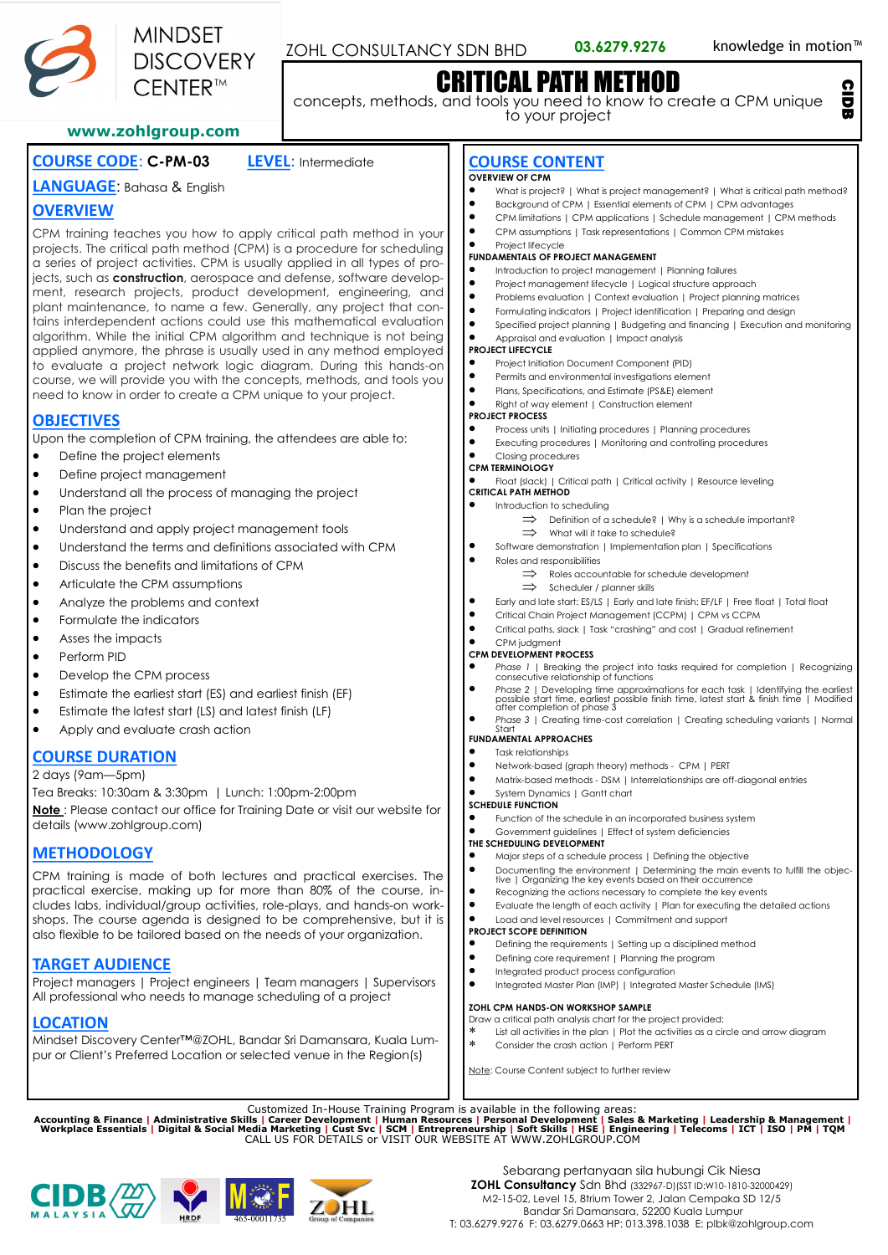

CIDB

# CRITICAL PATH METHOD

concepts, methods, and tools you need to know to create a CPM unique to your project

#### **www.zohlgroup.com**

**MINDSET** 

**DISCOVERY**  $\widehat{\phantom{a}}$  FNTFR  $^{\text{\tiny{TM}}}$ 

# **COURSE CODE**: **C-PM-03 LEVEL**: Intermediate

# **LANGUAGE**: Bahasa & English **OVERVIEW**

CPM training teaches you how to apply critical path method in your projects. The critical path method (CPM) is a procedure for scheduling a series of project activities. CPM is usually applied in all types of projects, such as **construction**, aerospace and defense, software development, research projects, product development, engineering, and plant maintenance, to name a few. Generally, any project that contains interdependent actions could use this mathematical evaluation algorithm. While the initial CPM algorithm and technique is not being applied anymore, the phrase is usually used in any method employed to evaluate a project network logic diagram. During this hands-on course, we will provide you with the concepts, methods, and tools you need to know in order to create a CPM unique to your project.

# **OBJECTIVES**

Upon the completion of CPM training, the attendees are able to:

- Define the project elements
- Define project management
- Understand all the process of managing the project
- Plan the project
- Understand and apply project management tools
- Understand the terms and definitions associated with CPM
- Discuss the benefits and limitations of CPM
- Articulate the CPM assumptions
- Analyze the problems and context
- Formulate the indicators
- Asses the impacts
- Perform PID
- Develop the CPM process
- Estimate the earliest start (ES) and earliest finish (EF)
- Estimate the latest start (LS) and latest finish (LF)
- Apply and evaluate crash action

# **COURSE DURATION**

2 days (9am—5pm)

Tea Breaks: 10:30am & 3:30pm | Lunch: 1:00pm-2:00pm **Note** : Please contact our office for Training Date or visit our website for details (www.zohlgroup.com)

# **METHODOLOGY**

CPM training is made of both lectures and practical exercises. The practical exercise, making up for more than 80% of the course, includes labs, individual/group activities, role-plays, and hands-on workshops. The course agenda is designed to be comprehensive, but it is also flexible to be tailored based on the needs of your organization.

# **TARGET AUDIENCE**

Project managers | Project engineers | Team managers | Supervisors All professional who needs to manage scheduling of a project

# **LOCATION**

Mindset Discovery Center™@ZOHL, Bandar Sri Damansara, Kuala Lumpur or Client's Preferred Location or selected venue in the Region(s)

# **COURSE CONTENT**

#### **OVERVIEW OF CPM**

- What is project? | What is project management? | What is critical path method?<br>• Background of CPM | Essential elements of CPM | CPM advantages
- Background of CPM | Essential elements of CPM | CPM advantages<br>• CPM limitations | CPM applications | Schedule management | CPM
- CPM limitations | CPM applications | Schedule management | CPM methods
- CPM assumptions | Task representations | Common CPM mistakes

#### Project lifecycle **FUNDAMENTALS OF PROJECT MANAGEMENT**

- Introduction to project management | Planning failures
- Project management lifecycle | Logical structure approach
- Problems evaluation | Context evaluation | Project planning matrices
- Formulating indicators | Project identification | Preparing and design
- Specified project planning | Budgeting and financing | Execution and monitoring
	- Appraisal and evaluation | Impact analysis

#### **PROJECT LIFECYCLE**

- Project Initiation Document Component (PID)
- Permits and environmental investigations element
- Plans, Specifications, and Estimate (PS&E) element
- Right of way element | Construction element

# **PROJECT PROCESS**

- Process units | Initiating procedures | Planning procedures
- Executing procedures | Monitoring and controlling procedures

#### • Closing procedures **CPM TERMINOLOGY**

• Float (slack) | Critical path | Critical activity | Resource leveling

**CRITICAL PATH METHOD**

#### • Introduction to scheduling

- $\Rightarrow$  Definition of a schedule? | Why is a schedule important?  $\implies$  What will it take to schedule?
- Software demonstration | Implementation plan | Specifications<br>• Belge and remonsibilities

#### • Roles and responsibilities

- $\Rightarrow$  Roles accountable for schedule development
	- $\Rightarrow$  Scheduler / planner skills
- Early and late start: ES/LS | Early and late finish: EF/LF | Free float | Total float
- Critical Chain Project Management (CCPM) | CPM vs CCPM<br>• Critical paths slack LTask "crashing" and cost LGradual refix
- Critical paths, slack | Task "crashing" and cost | Gradual refinement

### • CPM judgment

#### **CPM DEVELOPMENT PROCESS**

- *Phase 1* | Breaking the project into tasks required for completion | Recognizing consecutive relationship of functions
- *Phase 2* | Developing time approximations for each task | Identifying the earliest possible finish time, latest start & finish time | Modified after completion of phase 3
- *Phase 3* | Creating time-cost correlation | Creating scheduling variants | Normal Start **FUNDAMENTAL APPROACHES**

### • Task relationships

- 
- Network-based (graph theory) methods CPM | PERT<br>• Matrix-based methods DSM | Interrelationships are of • Matrix-based methods - DSM | Interrelationships are off-diagonal entries
- System Dynamics | Gantt chart

### **SCHEDULE FUNCTION**

- Function of the schedule in an incorporated business system
- Government guidelines | Effect of system deficiencies

#### **THE SCHEDULING DEVELOPMENT**

- Major steps of a schedule process | Defining the objective
- Documenting the environment | Determining the main events to fulfill the objec-tive | Organizing the key events based on their occurrence Recognizing the actions necessary to complete the key events
- Evaluate the length of each activity | Plan for executing the detailed actions
- Load and level resources | Commitment and support

#### **PROJECT SCOPE DEFINITION**

- Defining the requirements | Setting up a disciplined method
- Defining core requirement | Planning the program
- Integrated product process configuration
- Integrated Master Plan (IMP) | Integrated Master Schedule (IMS)

#### **ZOHL CPM HANDS-ON WORKSHOP SAMPLE**

- Draw a critical path analysis chart for the project provided:
- List all activities in the plan | Plot the activities as a circle and arrow diagram \* Consider the crash action I Perform PERT

Sebarang pertanyaan sila hubungi Cik Niesa **ZOHL Consultancy** Sdn Bhd (332967-D)(SST ID:W10-1810-32000429) M2-15-02, Level 15, 8trium Tower 2, Jalan Cempaka SD 12/5 Bandar Sri Damansara, 52200 Kuala Lumpur T: 03.6279.9276 F: 03.6279.0663 HP: 013.398.1038 E: plbk@zohlgroup.com

Note: Course Content subject to further review

Customized In-House Training Program is available in the following areas:<br>Accounting & Finance | Administrative Skills | Career Development | Human Resources | Personal Development | Sales & Marketing | Leadership & Manage